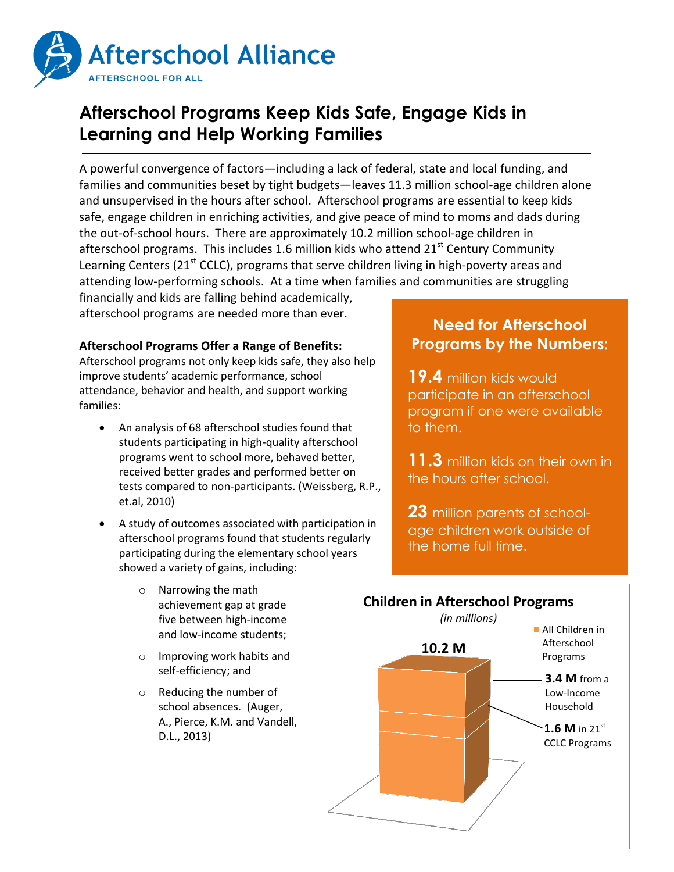

## **Afterschool Programs Keep Kids Safe, Engage Kids in Learning and Help Working Families**

A powerful convergence of factors—including a lack of federal, state and local funding, and families and communities beset by tight budgets—leaves 11.3 million school-age children alone and unsupervised in the hours after school. Afterschool programs are essential to keep kids safe, engage children in enriching activities, and give peace of mind to moms and dads during the out-of-school hours. There are approximately 10.2 million school-age children in afterschool programs. This includes 1.6 million kids who attend  $21<sup>st</sup>$  Century Community Learning Centers ( $21<sup>st</sup>$  CCLC), programs that serve children living in high-poverty areas and attending low-performing schools. At a time when families and communities are struggling

financially and kids are falling behind academically, afterschool programs are needed more than ever.

## **Afterschool Programs Offer a Range of Benefits:**

Afterschool programs not only keep kids safe, they also help improve students' academic performance, school attendance, behavior and health, and support working families:

- An analysis of 68 afterschool studies found that students participating in high-quality afterschool programs went to school more, behaved better, received better grades and performed better on tests compared to non-participants. (Weissberg, R.P., et.al, 2010)
- A study of outcomes associated with participation in afterschool programs found that students regularly participating during the elementary school years showed a variety of gains, including:
	- o Narrowing the math achievement gap at grade five between high-income and low-income students;
	- o Improving work habits and self-efficiency; and
	- o Reducing the number of school absences. (Auger, A., Pierce, K.M. and Vandell, D.L., 2013)

## **Need for Afterschool Programs by the Numbers:**

**19.4** million kids would participate in an afterschool program if one were available to them.

**11.3** million kids on their own in the hours after school.

**23** million parents of schoolage children work outside of the home full time.